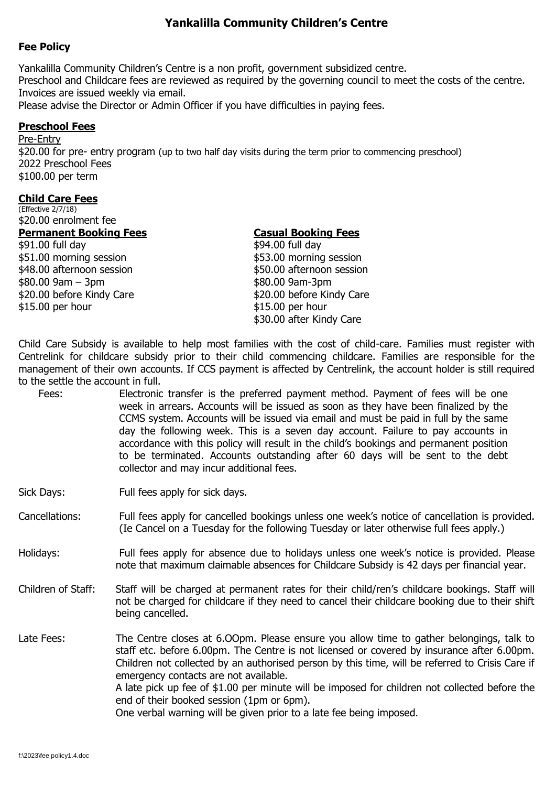# **Yankalilla Community Children's Centre**

### **Fee Policy**

Yankalilla Community Children's Centre is a non profit, government subsidized centre. Preschool and Childcare fees are reviewed as required by the governing council to meet the costs of the centre. Invoices are issued weekly via email. Please advise the Director or Admin Officer if you have difficulties in paying fees.

### **Preschool Fees**

Pre-Entry \$20.00 for pre- entry program (up to two half day visits during the term prior to commencing preschool) 2022 Preschool Fees \$100.00 per term

#### **Child Care Fees**

(Effective 2/7/18) \$20.00 enrolment fee

## **Permanent Booking Fees Casual Booking Fees**

\$91.00 full day \$94.00 full day \$51.00 morning session \$53.00 morning session \$48.00 afternoon session \$50.00 afternoon session  $$80.00\,9$ am - 3pm \$20.00 before Kindy Care \$20.00 before Kindy Care \$15.00 per hour \$15.00 per hour

\$30.00 after Kindy Care

Child Care Subsidy is available to help most families with the cost of child-care. Families must register with Centrelink for childcare subsidy prior to their child commencing childcare. Families are responsible for the management of their own accounts. If CCS payment is affected by Centrelink, the account holder is still required to the settle the account in full.

Fees: Electronic transfer is the preferred payment method. Payment of fees will be one week in arrears. Accounts will be issued as soon as they have been finalized by the CCMS system. Accounts will be issued via email and must be paid in full by the same day the following week. This is a seven day account. Failure to pay accounts in accordance with this policy will result in the child's bookings and permanent position to be terminated. Accounts outstanding after 60 days will be sent to the debt collector and may incur additional fees.

Sick Days: Full fees apply for sick days.

- Cancellations: Full fees apply for cancelled bookings unless one week's notice of cancellation is provided. (Ie Cancel on a Tuesday for the following Tuesday or later otherwise full fees apply.)
- Holidays: Full fees apply for absence due to holidays unless one week's notice is provided. Please note that maximum claimable absences for Childcare Subsidy is 42 days per financial year.
- Children of Staff: Staff will be charged at permanent rates for their child/ren's childcare bookings. Staff will not be charged for childcare if they need to cancel their childcare booking due to their shift being cancelled.
- Late Fees: The Centre closes at 6.00pm. Please ensure you allow time to gather belongings, talk to staff etc. before 6.00pm. The Centre is not licensed or covered by insurance after 6.00pm. Children not collected by an authorised person by this time, will be referred to Crisis Care if emergency contacts are not available. A late pick up fee of \$1.00 per minute will be imposed for children not collected before the end of their booked session (1pm or 6pm).

One verbal warning will be given prior to a late fee being imposed.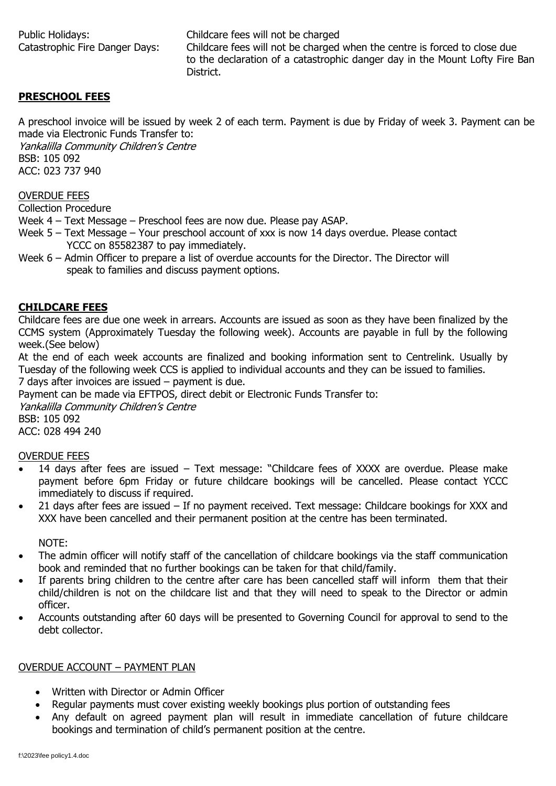Public Holidays: Childcare fees will not be charged Catastrophic Fire Danger Days: Childcare fees will not be charged when the centre is forced to close due to the declaration of a catastrophic danger day in the Mount Lofty Fire Ban District.

### **PRESCHOOL FEES**

A preschool invoice will be issued by week 2 of each term. Payment is due by Friday of week 3. Payment can be made via Electronic Funds Transfer to:

Yankalilla Community Children's Centre BSB: 105 092 ACC: 023 737 940

OVERDUE FEES

Collection Procedure

Week 4 – Text Message – Preschool fees are now due. Please pay ASAP.

- Week 5 Text Message Your preschool account of xxx is now 14 days overdue. Please contact YCCC on 85582387 to pay immediately.
- Week 6 Admin Officer to prepare a list of overdue accounts for the Director. The Director will speak to families and discuss payment options.

#### **CHILDCARE FEES**

Childcare fees are due one week in arrears. Accounts are issued as soon as they have been finalized by the CCMS system (Approximately Tuesday the following week). Accounts are payable in full by the following week.(See below)

At the end of each week accounts are finalized and booking information sent to Centrelink. Usually by Tuesday of the following week CCS is applied to individual accounts and they can be issued to families. 7 days after invoices are issued – payment is due.

Payment can be made via EFTPOS, direct debit or Electronic Funds Transfer to:

Yankalilla Community Children's Centre BSB: 105 092

ACC: 028 494 240

#### OVERDUE FEES

- 14 days after fees are issued Text message: "Childcare fees of XXXX are overdue. Please make payment before 6pm Friday or future childcare bookings will be cancelled. Please contact YCCC immediately to discuss if required.
- 21 days after fees are issued If no payment received. Text message: Childcare bookings for XXX and XXX have been cancelled and their permanent position at the centre has been terminated.

NOTE:

- The admin officer will notify staff of the cancellation of childcare bookings via the staff communication book and reminded that no further bookings can be taken for that child/family.
- If parents bring children to the centre after care has been cancelled staff will inform them that their child/children is not on the childcare list and that they will need to speak to the Director or admin officer.
- Accounts outstanding after 60 days will be presented to Governing Council for approval to send to the debt collector.

#### OVERDUE ACCOUNT – PAYMENT PLAN

- Written with Director or Admin Officer
- Regular payments must cover existing weekly bookings plus portion of outstanding fees
- Any default on agreed payment plan will result in immediate cancellation of future childcare bookings and termination of child's permanent position at the centre.